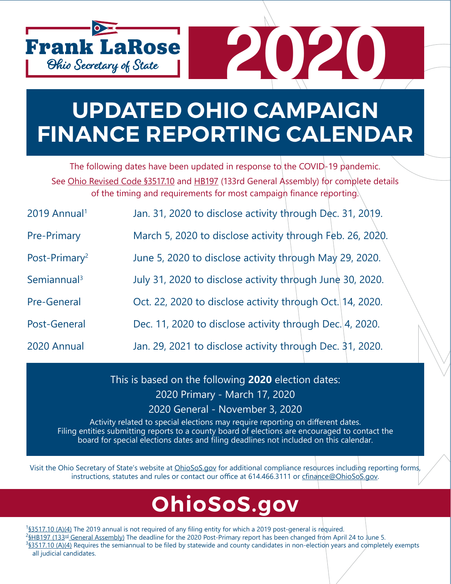

## **UPDATED OHIO CAMPAIGN FINANCE REPORTING CALENDAR**

The following dates have been updated in response to the COVID-19 pandemic. See [Ohio Revised Code §3517.10](http://codes.ohio.gov/orc/3517.10v1) and [HB197](https://www.legislature.ohio.gov/legislation/legislation-summary?id=GA133-HB-197) (133rd General Assembly) for complete details of the timing and requirements for most campaign finance reporting.

| 2019 Annual <sup>1</sup>  | Jan. 31, 2020 to disclose activity through Dec. 31, 2019. |
|---------------------------|-----------------------------------------------------------|
| <b>Pre-Primary</b>        | March 5, 2020 to disclose activity through Feb. 26, 2020. |
| Post-Primary <sup>2</sup> | June 5, 2020 to disclose activity through May 29, 2020.   |
| Semiannual <sup>3</sup>   | July 31, 2020 to disclose activity through June 30, 2020. |
| <b>Pre-General</b>        | Oct. 22, 2020 to disclose activity through Oct. 14, 2020. |
| Post-General              | Dec. 11, 2020 to disclose activity through Dec. 4, 2020.  |
| 2020 Annual               | Jan. 29, 2021 to disclose activity through Dec. 31, 2020. |

This is based on the following **2020** election dates: 2020 Primary - March 17, 2020 2020 General - November 3, 2020

Activity related to special elections may require reporting on different dates. Filing entities submitting reports to a county board of elections are encouraged to contact the board for special elections dates and filing deadlines not included on this calendar.

Visit the Ohio Secretary of State's website at *OhioSoS.gov* for additional compliance resources including reporting forms, instructions, statutes and rules or contact our office at 614.466.3111 or [cfinance@OhioSoS.gov](mailto:cfinance%40OhioSoS.gov?subject=).

### **OhioSoS[.gov](http://www.ohiosecretaryofstate.gov)**

<sup>1</sup>[§3517.10 \(A\)\(4\)](http://codes.ohio.gov/orc/3517.10v2) The 2019 annual is not required of any filing entity for which a 2019 post-general is required. <sup>2</sup>§HB197 (133<sup>rd</sup> [General Assembly\)](https://www.legislature.ohio.gov/legislation/legislation-summary?id=GA133-HB-197) The deadline for the 2020 Post-Primary report has been changed from April 24 to June 5.  ${}^{3}$ \$3517.10 (A)(4) Requires the semiannual to be filed by statewide and county candidates in non-election years and completely exempts all judicial candidates.